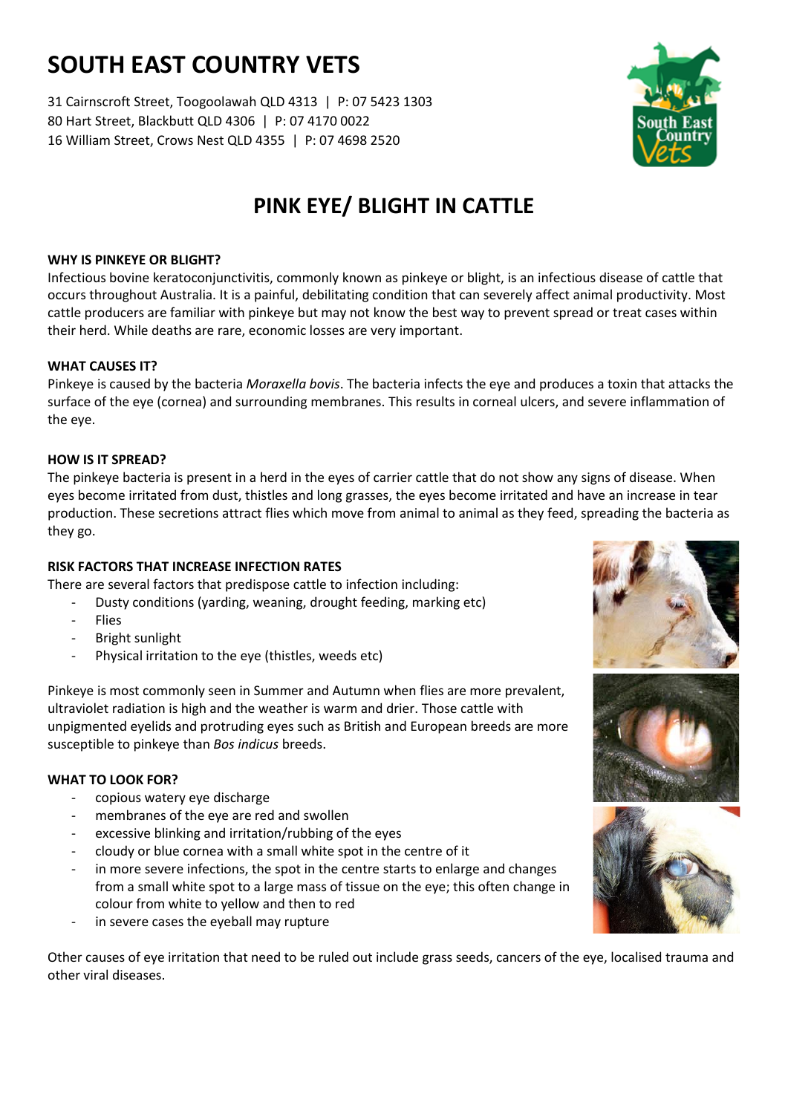# **SOUTH EAST COUNTRY VETS**

31 Cairnscroft Street, Toogoolawah QLD 4313 | P: 07 5423 1303 80 Hart Street, Blackbutt QLD 4306 | P: 07 4170 0022 16 William Street, Crows Nest QLD 4355 | P: 07 4698 2520



# **PINK EYE/ BLIGHT IN CATTLE**

## **WHY IS PINKEYE OR BLIGHT?**

Infectious bovine keratoconjunctivitis, commonly known as pinkeye or blight, is an infectious disease of cattle that occurs throughout Australia. It is a painful, debilitating condition that can severely affect animal productivity. Most cattle producers are familiar with pinkeye but may not know the best way to prevent spread or treat cases within their herd. While deaths are rare, economic losses are very important.

# **WHAT CAUSES IT?**

Pinkeye is caused by the bacteria *Moraxella bovis*. The bacteria infects the eye and produces a toxin that attacks the surface of the eye (cornea) and surrounding membranes. This results in corneal ulcers, and severe inflammation of the eye.

#### **HOW IS IT SPREAD?**

The pinkeye bacteria is present in a herd in the eyes of carrier cattle that do not show any signs of disease. When eyes become irritated from dust, thistles and long grasses, the eyes become irritated and have an increase in tear production. These secretions attract flies which move from animal to animal as they feed, spreading the bacteria as they go.

## **RISK FACTORS THAT INCREASE INFECTION RATES**

There are several factors that predispose cattle to infection including:

- Dusty conditions (yarding, weaning, drought feeding, marking etc)
- **Flies**
- Bright sunlight
- Physical irritation to the eye (thistles, weeds etc)

Pinkeye is most commonly seen in Summer and Autumn when flies are more prevalent, ultraviolet radiation is high and the weather is warm and drier. Those cattle with unpigmented eyelids and protruding eyes such as British and European breeds are more susceptible to pinkeye than *Bos indicus* breeds.

#### **WHAT TO LOOK FOR?**

- copious watery eye discharge
- membranes of the eye are red and swollen
- excessive blinking and irritation/rubbing of the eyes
- cloudy or blue cornea with a small white spot in the centre of it
- in more severe infections, the spot in the centre starts to enlarge and changes from a small white spot to a large mass of tissue on the eye; this often change in colour from white to yellow and then to red
- in severe cases the eyeball may rupture

Other causes of eye irritation that need to be ruled out include grass seeds, cancers of the eye, localised trauma and other viral diseases.